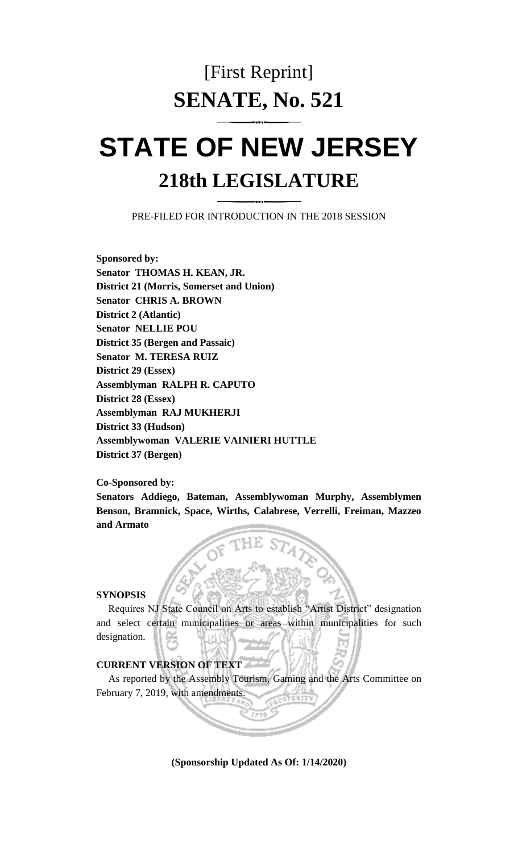# [First Reprint] **SENATE, No. 521**

# **STATE OF NEW JERSEY 218th LEGISLATURE**

PRE-FILED FOR INTRODUCTION IN THE 2018 SESSION

**Sponsored by: Senator THOMAS H. KEAN, JR. District 21 (Morris, Somerset and Union) Senator CHRIS A. BROWN District 2 (Atlantic) Senator NELLIE POU District 35 (Bergen and Passaic) Senator M. TERESA RUIZ District 29 (Essex) Assemblyman RALPH R. CAPUTO District 28 (Essex) Assemblyman RAJ MUKHERJI District 33 (Hudson) Assemblywoman VALERIE VAINIERI HUTTLE District 37 (Bergen)**

#### **Co-Sponsored by:**

**Senators Addiego, Bateman, Assemblywoman Murphy, Assemblymen Benson, Bramnick, Space, Wirths, Calabrese, Verrelli, Freiman, Mazzeo and Armato**

## **SYNOPSIS**

Requires NJ State Council on Arts to establish "Artist District" designation and select certain municipalities or areas within municipalities for such designation.

### **CURRENT VERSION OF TEXT**

As reported by the Assembly Tourism, Gaming and the Arts Committee on February 7, 2019, with amendments.

**(Sponsorship Updated As Of: 1/14/2020)**